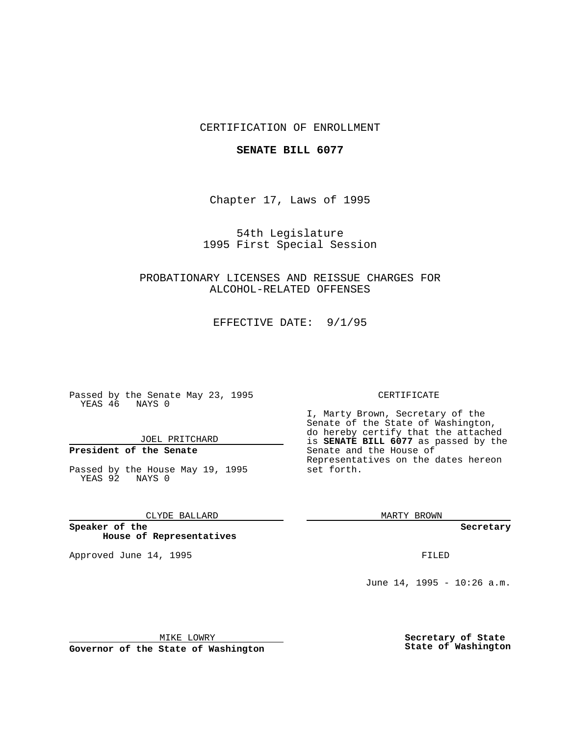## CERTIFICATION OF ENROLLMENT

### **SENATE BILL 6077**

Chapter 17, Laws of 1995

54th Legislature 1995 First Special Session

PROBATIONARY LICENSES AND REISSUE CHARGES FOR ALCOHOL-RELATED OFFENSES

EFFECTIVE DATE: 9/1/95

Passed by the Senate May 23, 1995 YEAS 46 NAYS 0

JOEL PRITCHARD

## **President of the Senate**

Passed by the House May 19, 1995 YEAS 92 NAYS 0

CLYDE BALLARD

**Speaker of the House of Representatives**

Approved June 14, 1995 **FILED** 

#### CERTIFICATE

I, Marty Brown, Secretary of the Senate of the State of Washington, do hereby certify that the attached is **SENATE BILL 6077** as passed by the Senate and the House of Representatives on the dates hereon set forth.

MARTY BROWN

**Secretary**

June 14, 1995 - 10:26 a.m.

MIKE LOWRY

**Governor of the State of Washington**

**Secretary of State State of Washington**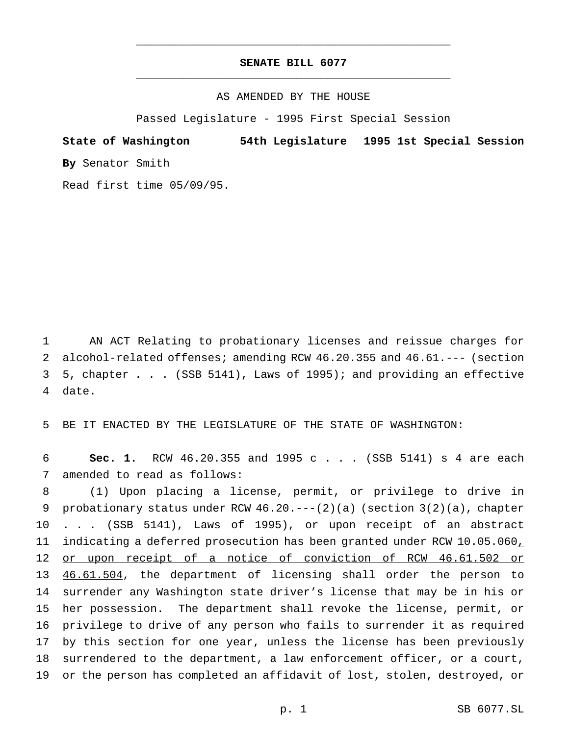# **SENATE BILL 6077** \_\_\_\_\_\_\_\_\_\_\_\_\_\_\_\_\_\_\_\_\_\_\_\_\_\_\_\_\_\_\_\_\_\_\_\_\_\_\_\_\_\_\_\_\_\_\_

\_\_\_\_\_\_\_\_\_\_\_\_\_\_\_\_\_\_\_\_\_\_\_\_\_\_\_\_\_\_\_\_\_\_\_\_\_\_\_\_\_\_\_\_\_\_\_

### AS AMENDED BY THE HOUSE

Passed Legislature - 1995 First Special Session

**State of Washington 54th Legislature 1995 1st Special Session By** Senator Smith

Read first time 05/09/95.

 AN ACT Relating to probationary licenses and reissue charges for alcohol-related offenses; amending RCW 46.20.355 and 46.61.--- (section 5, chapter . . . (SSB 5141), Laws of 1995); and providing an effective 4 date.

5 BE IT ENACTED BY THE LEGISLATURE OF THE STATE OF WASHINGTON:

6 **Sec. 1.** RCW 46.20.355 and 1995 c . . . (SSB 5141) s 4 are each 7 amended to read as follows:

 (1) Upon placing a license, permit, or privilege to drive in 9 probationary status under RCW  $46.20.---(2)(a)$  (section  $3(2)(a)$ , chapter . . . (SSB 5141), Laws of 1995), or upon receipt of an abstract 11 indicating a deferred prosecution has been granted under RCW 10.05.060, 12 or upon receipt of a notice of conviction of RCW 46.61.502 or 13 46.61.504, the department of licensing shall order the person to surrender any Washington state driver's license that may be in his or her possession. The department shall revoke the license, permit, or privilege to drive of any person who fails to surrender it as required by this section for one year, unless the license has been previously surrendered to the department, a law enforcement officer, or a court, or the person has completed an affidavit of lost, stolen, destroyed, or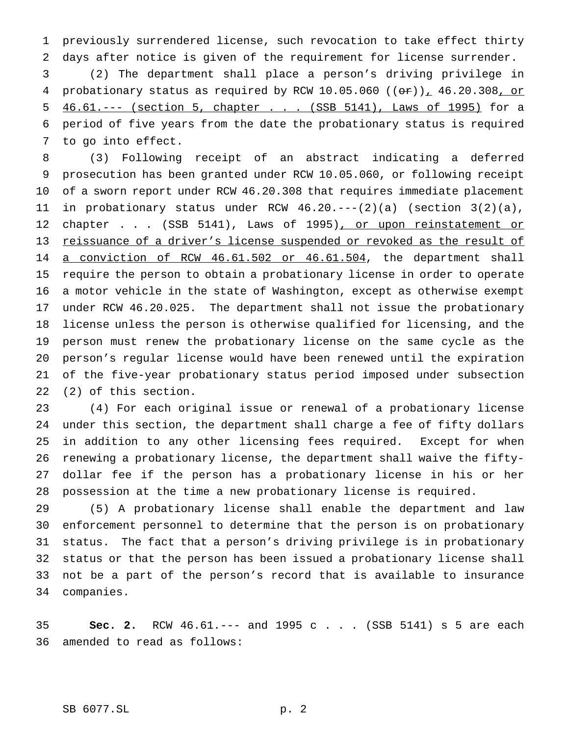previously surrendered license, such revocation to take effect thirty days after notice is given of the requirement for license surrender.

 (2) The department shall place a person's driving privilege in 4 probationary status as required by RCW 10.05.060  $((or))_1$  46.20.308, or 5 46.61.--- (section 5, chapter . . . (SSB 5141), Laws of 1995) for a period of five years from the date the probationary status is required to go into effect.

 (3) Following receipt of an abstract indicating a deferred prosecution has been granted under RCW 10.05.060, or following receipt of a sworn report under RCW 46.20.308 that requires immediate placement 11 in probationary status under RCW  $46.20.---(2)(a)$  (section  $3(2)(a)$ , 12 chapter . . . (SSB 5141), Laws of 1995), or upon reinstatement or reissuance of a driver's license suspended or revoked as the result of 14 a conviction of RCW 46.61.502 or 46.61.504, the department shall require the person to obtain a probationary license in order to operate a motor vehicle in the state of Washington, except as otherwise exempt under RCW 46.20.025. The department shall not issue the probationary license unless the person is otherwise qualified for licensing, and the person must renew the probationary license on the same cycle as the person's regular license would have been renewed until the expiration of the five-year probationary status period imposed under subsection (2) of this section.

 (4) For each original issue or renewal of a probationary license under this section, the department shall charge a fee of fifty dollars in addition to any other licensing fees required. Except for when renewing a probationary license, the department shall waive the fifty- dollar fee if the person has a probationary license in his or her possession at the time a new probationary license is required.

 (5) A probationary license shall enable the department and law enforcement personnel to determine that the person is on probationary status. The fact that a person's driving privilege is in probationary status or that the person has been issued a probationary license shall not be a part of the person's record that is available to insurance companies.

 **Sec. 2.** RCW 46.61.--- and 1995 c . . . (SSB 5141) s 5 are each amended to read as follows: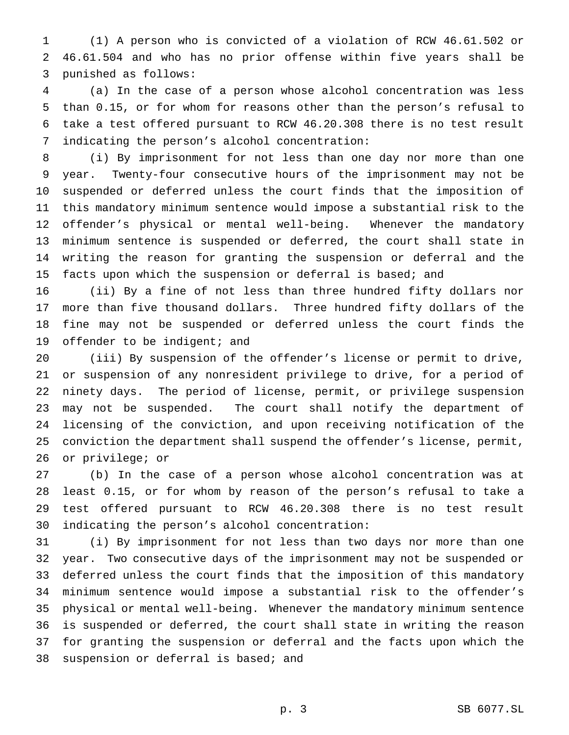(1) A person who is convicted of a violation of RCW 46.61.502 or 46.61.504 and who has no prior offense within five years shall be punished as follows:

 (a) In the case of a person whose alcohol concentration was less than 0.15, or for whom for reasons other than the person's refusal to take a test offered pursuant to RCW 46.20.308 there is no test result indicating the person's alcohol concentration:

 (i) By imprisonment for not less than one day nor more than one year. Twenty-four consecutive hours of the imprisonment may not be suspended or deferred unless the court finds that the imposition of this mandatory minimum sentence would impose a substantial risk to the offender's physical or mental well-being. Whenever the mandatory minimum sentence is suspended or deferred, the court shall state in writing the reason for granting the suspension or deferral and the facts upon which the suspension or deferral is based; and

 (ii) By a fine of not less than three hundred fifty dollars nor more than five thousand dollars. Three hundred fifty dollars of the fine may not be suspended or deferred unless the court finds the 19 offender to be indigent; and

 (iii) By suspension of the offender's license or permit to drive, or suspension of any nonresident privilege to drive, for a period of ninety days. The period of license, permit, or privilege suspension may not be suspended. The court shall notify the department of licensing of the conviction, and upon receiving notification of the conviction the department shall suspend the offender's license, permit, or privilege; or

 (b) In the case of a person whose alcohol concentration was at least 0.15, or for whom by reason of the person's refusal to take a test offered pursuant to RCW 46.20.308 there is no test result indicating the person's alcohol concentration:

 (i) By imprisonment for not less than two days nor more than one year. Two consecutive days of the imprisonment may not be suspended or deferred unless the court finds that the imposition of this mandatory minimum sentence would impose a substantial risk to the offender's physical or mental well-being. Whenever the mandatory minimum sentence is suspended or deferred, the court shall state in writing the reason for granting the suspension or deferral and the facts upon which the suspension or deferral is based; and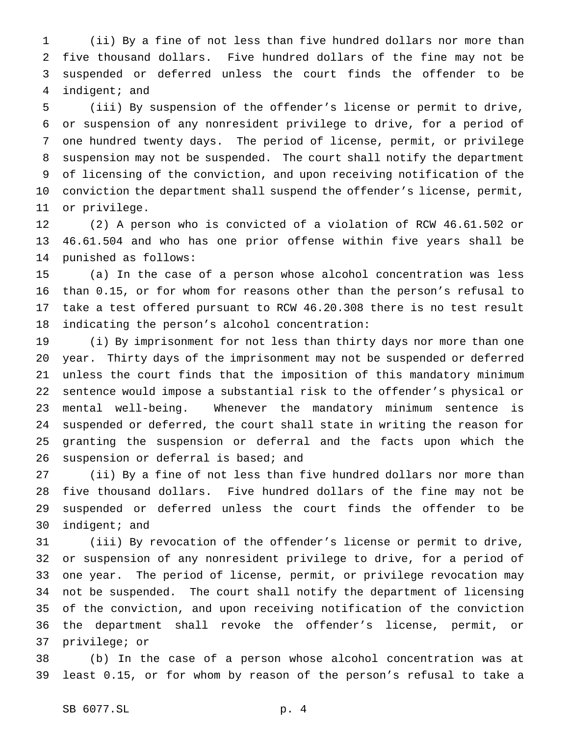(ii) By a fine of not less than five hundred dollars nor more than five thousand dollars. Five hundred dollars of the fine may not be suspended or deferred unless the court finds the offender to be indigent; and

 (iii) By suspension of the offender's license or permit to drive, or suspension of any nonresident privilege to drive, for a period of one hundred twenty days. The period of license, permit, or privilege suspension may not be suspended. The court shall notify the department of licensing of the conviction, and upon receiving notification of the conviction the department shall suspend the offender's license, permit, or privilege.

 (2) A person who is convicted of a violation of RCW 46.61.502 or 46.61.504 and who has one prior offense within five years shall be punished as follows:

 (a) In the case of a person whose alcohol concentration was less than 0.15, or for whom for reasons other than the person's refusal to take a test offered pursuant to RCW 46.20.308 there is no test result indicating the person's alcohol concentration:

 (i) By imprisonment for not less than thirty days nor more than one year. Thirty days of the imprisonment may not be suspended or deferred unless the court finds that the imposition of this mandatory minimum sentence would impose a substantial risk to the offender's physical or mental well-being. Whenever the mandatory minimum sentence is suspended or deferred, the court shall state in writing the reason for granting the suspension or deferral and the facts upon which the 26 suspension or deferral is based; and

 (ii) By a fine of not less than five hundred dollars nor more than five thousand dollars. Five hundred dollars of the fine may not be suspended or deferred unless the court finds the offender to be indigent; and

 (iii) By revocation of the offender's license or permit to drive, or suspension of any nonresident privilege to drive, for a period of one year. The period of license, permit, or privilege revocation may not be suspended. The court shall notify the department of licensing of the conviction, and upon receiving notification of the conviction the department shall revoke the offender's license, permit, or privilege; or

 (b) In the case of a person whose alcohol concentration was at least 0.15, or for whom by reason of the person's refusal to take a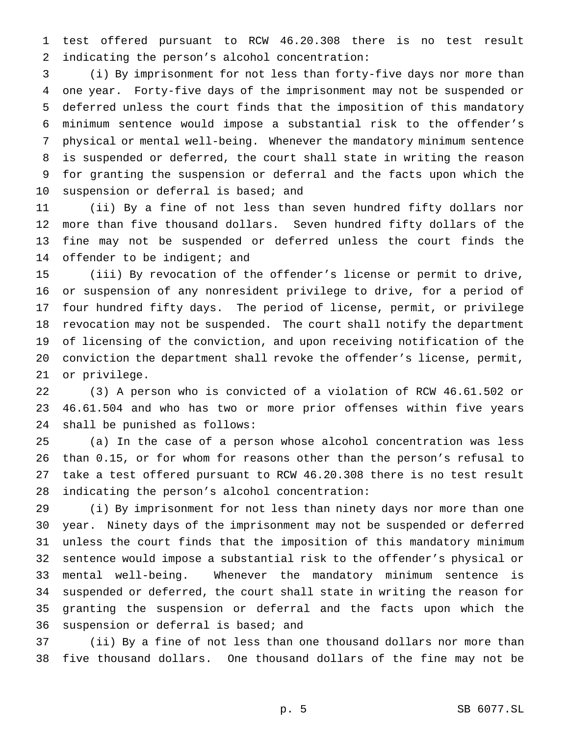test offered pursuant to RCW 46.20.308 there is no test result indicating the person's alcohol concentration:

 (i) By imprisonment for not less than forty-five days nor more than one year. Forty-five days of the imprisonment may not be suspended or deferred unless the court finds that the imposition of this mandatory minimum sentence would impose a substantial risk to the offender's physical or mental well-being. Whenever the mandatory minimum sentence is suspended or deferred, the court shall state in writing the reason for granting the suspension or deferral and the facts upon which the suspension or deferral is based; and

 (ii) By a fine of not less than seven hundred fifty dollars nor more than five thousand dollars. Seven hundred fifty dollars of the fine may not be suspended or deferred unless the court finds the 14 offender to be indigent; and

 (iii) By revocation of the offender's license or permit to drive, or suspension of any nonresident privilege to drive, for a period of four hundred fifty days. The period of license, permit, or privilege revocation may not be suspended. The court shall notify the department of licensing of the conviction, and upon receiving notification of the conviction the department shall revoke the offender's license, permit, or privilege.

 (3) A person who is convicted of a violation of RCW 46.61.502 or 46.61.504 and who has two or more prior offenses within five years shall be punished as follows:

 (a) In the case of a person whose alcohol concentration was less than 0.15, or for whom for reasons other than the person's refusal to take a test offered pursuant to RCW 46.20.308 there is no test result indicating the person's alcohol concentration:

 (i) By imprisonment for not less than ninety days nor more than one year. Ninety days of the imprisonment may not be suspended or deferred unless the court finds that the imposition of this mandatory minimum sentence would impose a substantial risk to the offender's physical or mental well-being. Whenever the mandatory minimum sentence is suspended or deferred, the court shall state in writing the reason for granting the suspension or deferral and the facts upon which the suspension or deferral is based; and

 (ii) By a fine of not less than one thousand dollars nor more than five thousand dollars. One thousand dollars of the fine may not be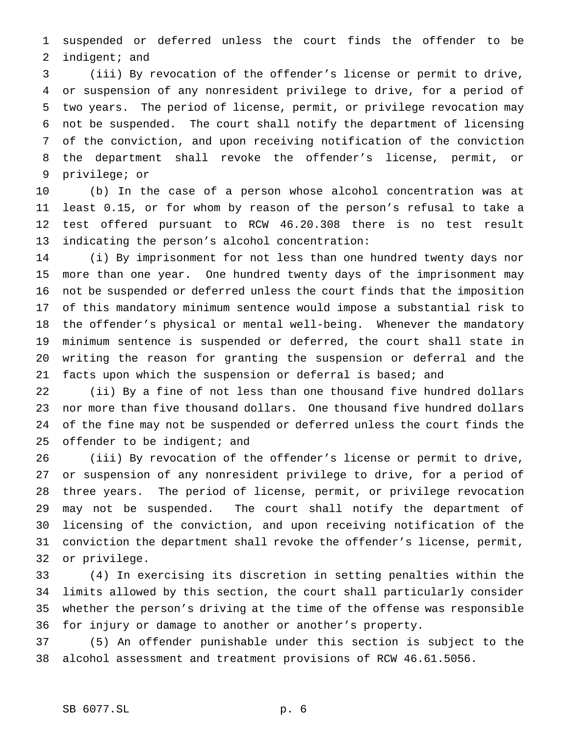suspended or deferred unless the court finds the offender to be indigent; and

 (iii) By revocation of the offender's license or permit to drive, or suspension of any nonresident privilege to drive, for a period of two years. The period of license, permit, or privilege revocation may not be suspended. The court shall notify the department of licensing of the conviction, and upon receiving notification of the conviction the department shall revoke the offender's license, permit, or privilege; or

 (b) In the case of a person whose alcohol concentration was at least 0.15, or for whom by reason of the person's refusal to take a test offered pursuant to RCW 46.20.308 there is no test result indicating the person's alcohol concentration:

 (i) By imprisonment for not less than one hundred twenty days nor more than one year. One hundred twenty days of the imprisonment may not be suspended or deferred unless the court finds that the imposition of this mandatory minimum sentence would impose a substantial risk to the offender's physical or mental well-being. Whenever the mandatory minimum sentence is suspended or deferred, the court shall state in writing the reason for granting the suspension or deferral and the facts upon which the suspension or deferral is based; and

 (ii) By a fine of not less than one thousand five hundred dollars nor more than five thousand dollars. One thousand five hundred dollars of the fine may not be suspended or deferred unless the court finds the 25 offender to be indigent; and

 (iii) By revocation of the offender's license or permit to drive, or suspension of any nonresident privilege to drive, for a period of three years. The period of license, permit, or privilege revocation may not be suspended. The court shall notify the department of licensing of the conviction, and upon receiving notification of the conviction the department shall revoke the offender's license, permit, or privilege.

 (4) In exercising its discretion in setting penalties within the limits allowed by this section, the court shall particularly consider whether the person's driving at the time of the offense was responsible for injury or damage to another or another's property.

 (5) An offender punishable under this section is subject to the alcohol assessment and treatment provisions of RCW 46.61.5056.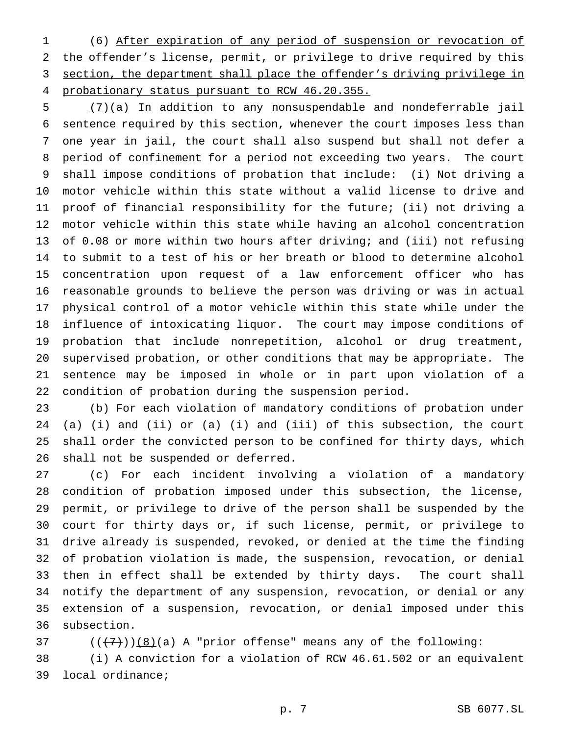(6) After expiration of any period of suspension or revocation of the offender's license, permit, or privilege to drive required by this section, the department shall place the offender's driving privilege in probationary status pursuant to RCW 46.20.355.

 (7)(a) In addition to any nonsuspendable and nondeferrable jail sentence required by this section, whenever the court imposes less than one year in jail, the court shall also suspend but shall not defer a period of confinement for a period not exceeding two years. The court shall impose conditions of probation that include: (i) Not driving a motor vehicle within this state without a valid license to drive and proof of financial responsibility for the future; (ii) not driving a motor vehicle within this state while having an alcohol concentration of 0.08 or more within two hours after driving; and (iii) not refusing to submit to a test of his or her breath or blood to determine alcohol concentration upon request of a law enforcement officer who has reasonable grounds to believe the person was driving or was in actual physical control of a motor vehicle within this state while under the influence of intoxicating liquor. The court may impose conditions of probation that include nonrepetition, alcohol or drug treatment, supervised probation, or other conditions that may be appropriate. The sentence may be imposed in whole or in part upon violation of a condition of probation during the suspension period.

 (b) For each violation of mandatory conditions of probation under (a) (i) and (ii) or (a) (i) and (iii) of this subsection, the court shall order the convicted person to be confined for thirty days, which shall not be suspended or deferred.

 (c) For each incident involving a violation of a mandatory condition of probation imposed under this subsection, the license, permit, or privilege to drive of the person shall be suspended by the court for thirty days or, if such license, permit, or privilege to drive already is suspended, revoked, or denied at the time the finding of probation violation is made, the suspension, revocation, or denial then in effect shall be extended by thirty days. The court shall notify the department of any suspension, revocation, or denial or any extension of a suspension, revocation, or denial imposed under this subsection.

37  $((+7))$   $(8)$  (a) A "prior offense" means any of the following: (i) A conviction for a violation of RCW 46.61.502 or an equivalent local ordinance;